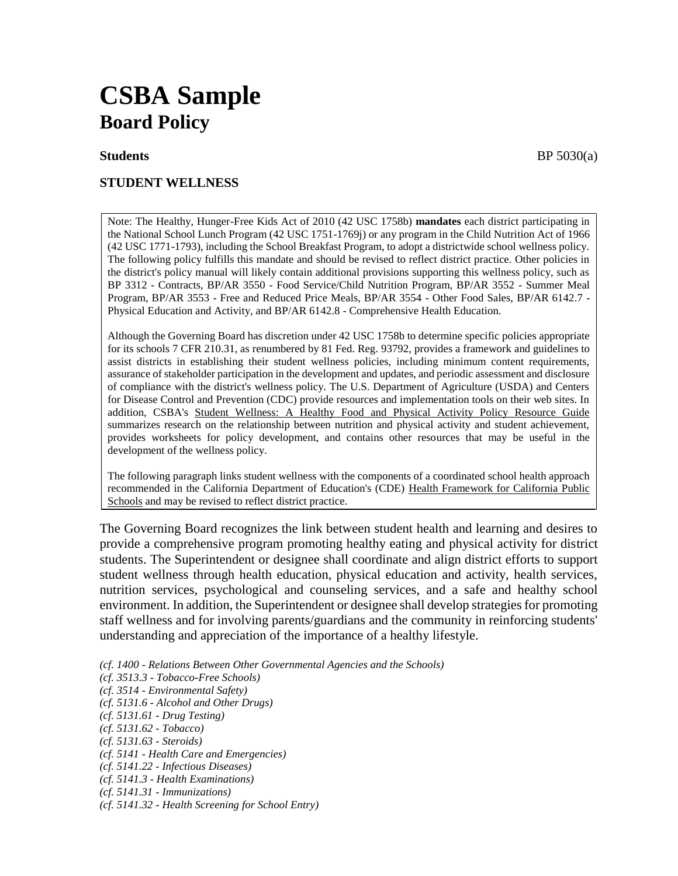# **CSBA Sample Board Policy**

# **STUDENT WELLNESS**

Note: The Healthy, Hunger-Free Kids Act of 2010 (42 USC 1758b) **mandates** each district participating in the National School Lunch Program (42 USC 1751-1769j) or any program in the Child Nutrition Act of 1966 (42 USC 1771-1793), including the School Breakfast Program, to adopt a districtwide school wellness policy. The following policy fulfills this mandate and should be revised to reflect district practice. Other policies in the district's policy manual will likely contain additional provisions supporting this wellness policy, such as BP 3312 - Contracts, BP/AR 3550 - Food Service/Child Nutrition Program, BP/AR 3552 - Summer Meal Program, BP/AR 3553 - Free and Reduced Price Meals, BP/AR 3554 - Other Food Sales, BP/AR 6142.7 - Physical Education and Activity, and BP/AR 6142.8 - Comprehensive Health Education.

Although the Governing Board has discretion under 42 USC 1758b to determine specific policies appropriate for its schools 7 CFR 210.31, as renumbered by 81 Fed. Reg. 93792, provides a framework and guidelines to assist districts in establishing their student wellness policies, including minimum content requirements, assurance of stakeholder participation in the development and updates, and periodic assessment and disclosure of compliance with the district's wellness policy. The U.S. Department of Agriculture (USDA) and Centers for Disease Control and Prevention (CDC) provide resources and implementation tools on their web sites. In addition, CSBA's Student Wellness: A Healthy Food and Physical Activity Policy Resource Guide summarizes research on the relationship between nutrition and physical activity and student achievement, provides worksheets for policy development, and contains other resources that may be useful in the development of the wellness policy.

The following paragraph links student wellness with the components of a coordinated school health approach recommended in the California Department of Education's (CDE) Health Framework for California Public Schools and may be revised to reflect district practice.

The Governing Board recognizes the link between student health and learning and desires to provide a comprehensive program promoting healthy eating and physical activity for district students. The Superintendent or designee shall coordinate and align district efforts to support student wellness through health education, physical education and activity, health services, nutrition services, psychological and counseling services, and a safe and healthy school environment. In addition, the Superintendent or designee shall develop strategies for promoting staff wellness and for involving parents/guardians and the community in reinforcing students' understanding and appreciation of the importance of a healthy lifestyle.

*(cf. 1400 - Relations Between Other Governmental Agencies and the Schools)*

- *(cf. 3513.3 - Tobacco-Free Schools)*
- *(cf. 3514 - Environmental Safety)*
- *(cf. 5131.6 - Alcohol and Other Drugs)*
- *(cf. 5131.61 - Drug Testing)*
- *(cf. 5131.62 - Tobacco)*
- *(cf. 5131.63 - Steroids)*

*(cf. 5141 - Health Care and Emergencies)*

- *(cf. 5141.22 - Infectious Diseases)*
- *(cf. 5141.3 - Health Examinations)*
- *(cf. 5141.31 - Immunizations)*
- *(cf. 5141.32 - Health Screening for School Entry)*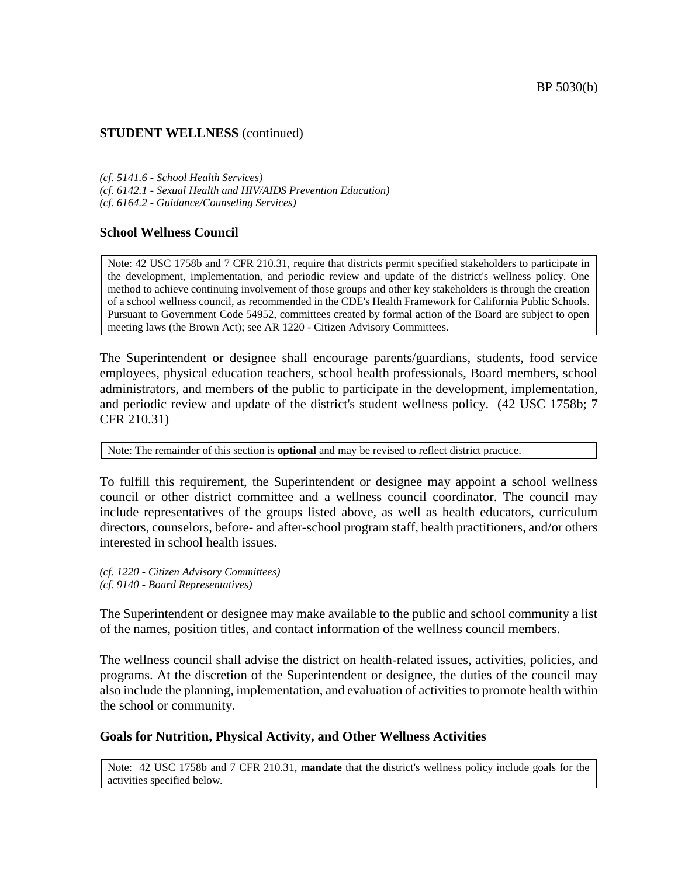*(cf. 5141.6 - School Health Services) (cf. 6142.1 - Sexual Health and HIV/AIDS Prevention Education) (cf. 6164.2 - Guidance/Counseling Services)*

#### **School Wellness Council**

Note: 42 USC 1758b and 7 CFR 210.31, require that districts permit specified stakeholders to participate in the development, implementation, and periodic review and update of the district's wellness policy. One method to achieve continuing involvement of those groups and other key stakeholders is through the creation of a school wellness council, as recommended in the CDE's Health Framework for California Public Schools. Pursuant to Government Code 54952, committees created by formal action of the Board are subject to open meeting laws (the Brown Act); see AR 1220 - Citizen Advisory Committees.

The Superintendent or designee shall encourage parents/guardians, students, food service employees, physical education teachers, school health professionals, Board members, school administrators, and members of the public to participate in the development, implementation, and periodic review and update of the district's student wellness policy. (42 USC 1758b; 7 CFR 210.31)

Note: The remainder of this section is **optional** and may be revised to reflect district practice.

To fulfill this requirement, the Superintendent or designee may appoint a school wellness council or other district committee and a wellness council coordinator. The council may include representatives of the groups listed above, as well as health educators, curriculum directors, counselors, before- and after-school program staff, health practitioners, and/or others interested in school health issues.

*(cf. 1220 - Citizen Advisory Committees) (cf. 9140 - Board Representatives)*

The Superintendent or designee may make available to the public and school community a list of the names, position titles, and contact information of the wellness council members.

The wellness council shall advise the district on health-related issues, activities, policies, and programs. At the discretion of the Superintendent or designee, the duties of the council may also include the planning, implementation, and evaluation of activities to promote health within the school or community.

#### **Goals for Nutrition, Physical Activity, and Other Wellness Activities**

Note: 42 USC 1758b and 7 CFR 210.31, **mandate** that the district's wellness policy include goals for the activities specified below.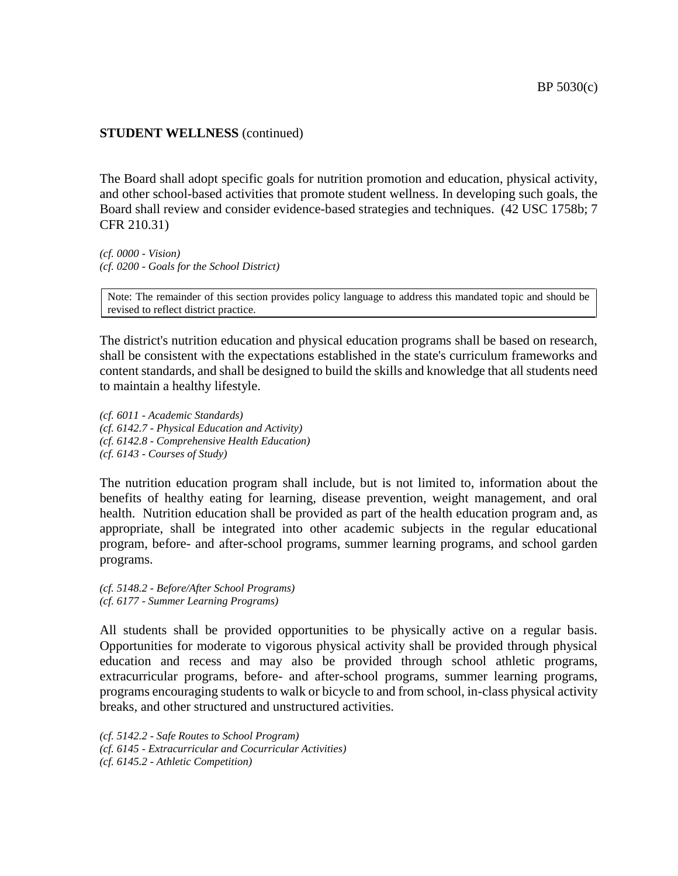The Board shall adopt specific goals for nutrition promotion and education, physical activity, and other school-based activities that promote student wellness. In developing such goals, the Board shall review and consider evidence-based strategies and techniques. (42 USC 1758b; 7 CFR 210.31)

*(cf. 0000 - Vision) (cf. 0200 - Goals for the School District)*

Note: The remainder of this section provides policy language to address this mandated topic and should be revised to reflect district practice.

The district's nutrition education and physical education programs shall be based on research, shall be consistent with the expectations established in the state's curriculum frameworks and content standards, and shall be designed to build the skills and knowledge that all students need to maintain a healthy lifestyle.

*(cf. 6011 - Academic Standards) (cf. 6142.7 - Physical Education and Activity) (cf. 6142.8 - Comprehensive Health Education) (cf. 6143 - Courses of Study)*

The nutrition education program shall include, but is not limited to, information about the benefits of healthy eating for learning, disease prevention, weight management, and oral health. Nutrition education shall be provided as part of the health education program and, as appropriate, shall be integrated into other academic subjects in the regular educational program, before- and after-school programs, summer learning programs, and school garden programs.

*(cf. 5148.2 - Before/After School Programs) (cf. 6177 - Summer Learning Programs)*

All students shall be provided opportunities to be physically active on a regular basis. Opportunities for moderate to vigorous physical activity shall be provided through physical education and recess and may also be provided through school athletic programs, extracurricular programs, before- and after-school programs, summer learning programs, programs encouraging students to walk or bicycle to and from school, in-class physical activity breaks, and other structured and unstructured activities.

*(cf. 5142.2 - Safe Routes to School Program) (cf. 6145 - Extracurricular and Cocurricular Activities) (cf. 6145.2 - Athletic Competition)*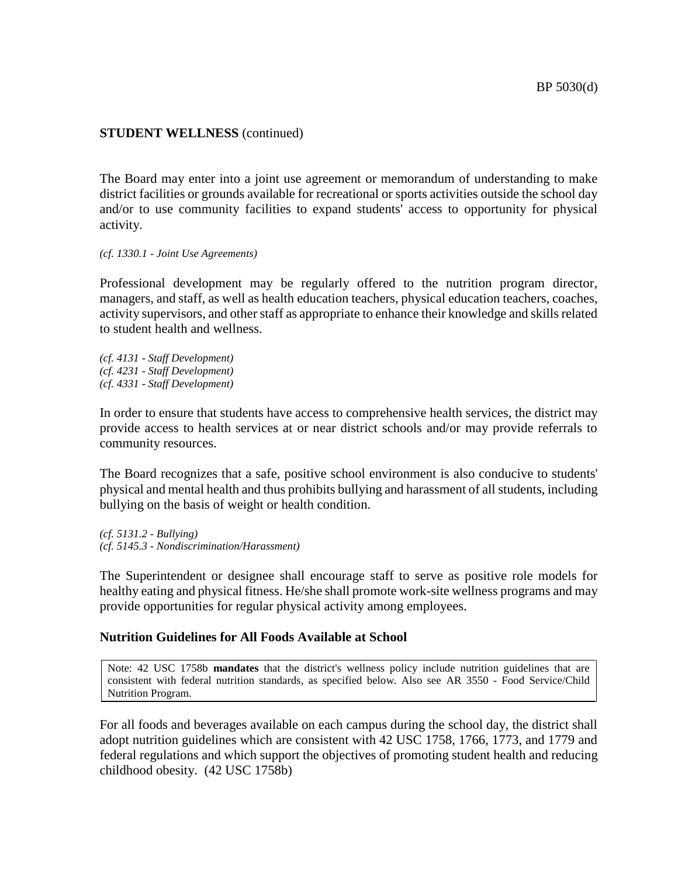The Board may enter into a joint use agreement or memorandum of understanding to make district facilities or grounds available for recreational or sports activities outside the school day and/or to use community facilities to expand students' access to opportunity for physical activity.

*(cf. 1330.1 - Joint Use Agreements)*

Professional development may be regularly offered to the nutrition program director, managers, and staff, as well as health education teachers, physical education teachers, coaches, activity supervisors, and other staff as appropriate to enhance their knowledge and skills related to student health and wellness.

*(cf. 4131 - Staff Development) (cf. 4231 - Staff Development) (cf. 4331 - Staff Development)*

In order to ensure that students have access to comprehensive health services, the district may provide access to health services at or near district schools and/or may provide referrals to community resources.

The Board recognizes that a safe, positive school environment is also conducive to students' physical and mental health and thus prohibits bullying and harassment of all students, including bullying on the basis of weight or health condition.

*(cf. 5131.2 - Bullying) (cf. 5145.3 - Nondiscrimination/Harassment)*

The Superintendent or designee shall encourage staff to serve as positive role models for healthy eating and physical fitness. He/she shall promote work-site wellness programs and may provide opportunities for regular physical activity among employees.

# **Nutrition Guidelines for All Foods Available at School**

Note: 42 USC 1758b **mandates** that the district's wellness policy include nutrition guidelines that are consistent with federal nutrition standards, as specified below. Also see AR 3550 - Food Service/Child Nutrition Program.

For all foods and beverages available on each campus during the school day, the district shall adopt nutrition guidelines which are consistent with 42 USC 1758, 1766, 1773, and 1779 and federal regulations and which support the objectives of promoting student health and reducing childhood obesity. (42 USC 1758b)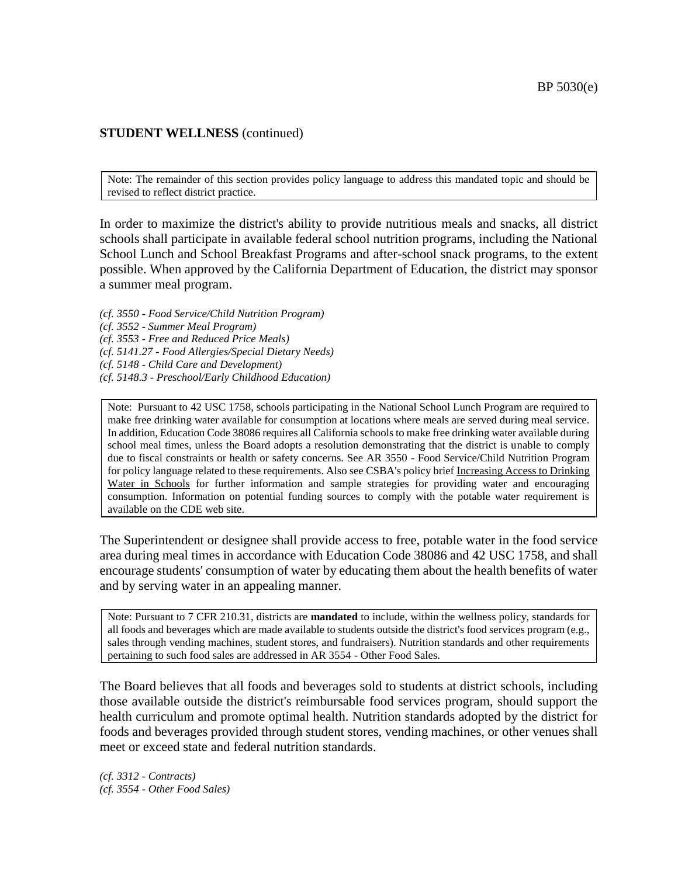Note: The remainder of this section provides policy language to address this mandated topic and should be revised to reflect district practice.

In order to maximize the district's ability to provide nutritious meals and snacks, all district schools shall participate in available federal school nutrition programs, including the National School Lunch and School Breakfast Programs and after-school snack programs, to the extent possible. When approved by the California Department of Education, the district may sponsor a summer meal program.

*(cf. 3550 - Food Service/Child Nutrition Program) (cf. 3552 - Summer Meal Program) (cf. 3553 - Free and Reduced Price Meals) (cf. 5141.27 - Food Allergies/Special Dietary Needs) (cf. 5148 - Child Care and Development)*

*(cf. 5148.3 - Preschool/Early Childhood Education)*

Note: Pursuant to 42 USC 1758, schools participating in the National School Lunch Program are required to make free drinking water available for consumption at locations where meals are served during meal service. In addition, Education Code 38086 requires all California schools to make free drinking water available during school meal times, unless the Board adopts a resolution demonstrating that the district is unable to comply due to fiscal constraints or health or safety concerns. See AR 3550 - Food Service/Child Nutrition Program for policy language related to these requirements. Also see CSBA's policy brief Increasing Access to Drinking Water in Schools for further information and sample strategies for providing water and encouraging consumption. Information on potential funding sources to comply with the potable water requirement is available on the CDE web site.

The Superintendent or designee shall provide access to free, potable water in the food service area during meal times in accordance with Education Code 38086 and 42 USC 1758, and shall encourage students' consumption of water by educating them about the health benefits of water and by serving water in an appealing manner.

Note: Pursuant to 7 CFR 210.31, districts are **mandated** to include, within the wellness policy, standards for all foods and beverages which are made available to students outside the district's food services program (e.g., sales through vending machines, student stores, and fundraisers). Nutrition standards and other requirements pertaining to such food sales are addressed in AR 3554 - Other Food Sales.

The Board believes that all foods and beverages sold to students at district schools, including those available outside the district's reimbursable food services program, should support the health curriculum and promote optimal health. Nutrition standards adopted by the district for foods and beverages provided through student stores, vending machines, or other venues shall meet or exceed state and federal nutrition standards.

*(cf. 3312 - Contracts) (cf. 3554 - Other Food Sales)*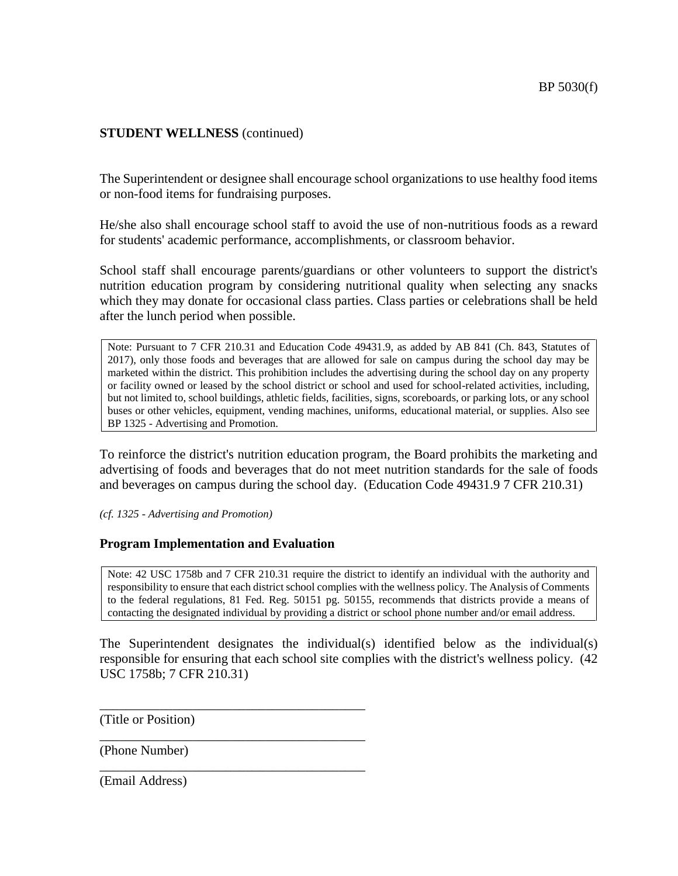The Superintendent or designee shall encourage school organizations to use healthy food items or non-food items for fundraising purposes.

He/she also shall encourage school staff to avoid the use of non-nutritious foods as a reward for students' academic performance, accomplishments, or classroom behavior.

School staff shall encourage parents/guardians or other volunteers to support the district's nutrition education program by considering nutritional quality when selecting any snacks which they may donate for occasional class parties. Class parties or celebrations shall be held after the lunch period when possible.

Note: Pursuant to 7 CFR 210.31 and Education Code 49431.9, as added by AB 841 (Ch. 843, Statutes of 2017), only those foods and beverages that are allowed for sale on campus during the school day may be marketed within the district. This prohibition includes the advertising during the school day on any property or facility owned or leased by the school district or school and used for school-related activities, including, but not limited to, school buildings, athletic fields, facilities, signs, scoreboards, or parking lots, or any school buses or other vehicles, equipment, vending machines, uniforms, educational material, or supplies. Also see BP 1325 - Advertising and Promotion.

To reinforce the district's nutrition education program, the Board prohibits the marketing and advertising of foods and beverages that do not meet nutrition standards for the sale of foods and beverages on campus during the school day. (Education Code 49431.9 7 CFR 210.31)

*(cf. 1325 - Advertising and Promotion)*

# **Program Implementation and Evaluation**

\_\_\_\_\_\_\_\_\_\_\_\_\_\_\_\_\_\_\_\_\_\_\_\_\_\_\_\_\_\_\_\_\_\_\_\_\_\_\_\_

\_\_\_\_\_\_\_\_\_\_\_\_\_\_\_\_\_\_\_\_\_\_\_\_\_\_\_\_\_\_\_\_\_\_\_\_\_\_\_\_

\_\_\_\_\_\_\_\_\_\_\_\_\_\_\_\_\_\_\_\_\_\_\_\_\_\_\_\_\_\_\_\_\_\_\_\_\_\_\_\_

Note: 42 USC 1758b and 7 CFR 210.31 require the district to identify an individual with the authority and responsibility to ensure that each district school complies with the wellness policy. The Analysis of Comments to the federal regulations, 81 Fed. Reg. 50151 pg. 50155, recommends that districts provide a means of contacting the designated individual by providing a district or school phone number and/or email address.

The Superintendent designates the individual(s) identified below as the individual(s) responsible for ensuring that each school site complies with the district's wellness policy. (42 USC 1758b; 7 CFR 210.31)

(Title or Position)

(Phone Number)

(Email Address)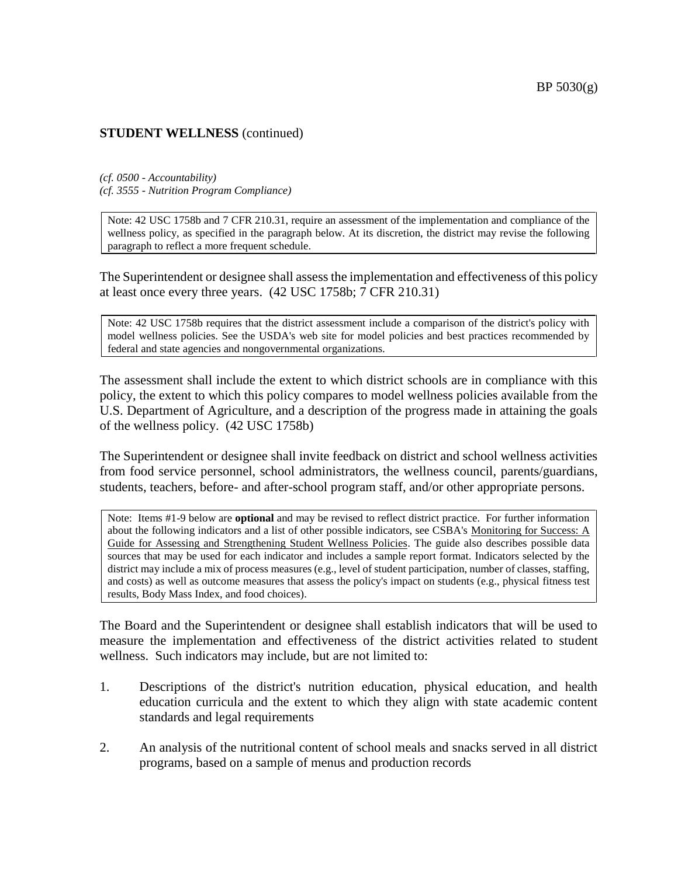*(cf. 0500 - Accountability) (cf. 3555 - Nutrition Program Compliance)*

Note: 42 USC 1758b and 7 CFR 210.31, require an assessment of the implementation and compliance of the wellness policy, as specified in the paragraph below. At its discretion, the district may revise the following paragraph to reflect a more frequent schedule.

The Superintendent or designee shall assess the implementation and effectiveness of this policy at least once every three years. (42 USC 1758b; 7 CFR 210.31)

Note: 42 USC 1758b requires that the district assessment include a comparison of the district's policy with model wellness policies. See the USDA's web site for model policies and best practices recommended by federal and state agencies and nongovernmental organizations.

The assessment shall include the extent to which district schools are in compliance with this policy, the extent to which this policy compares to model wellness policies available from the U.S. Department of Agriculture, and a description of the progress made in attaining the goals of the wellness policy. (42 USC 1758b)

The Superintendent or designee shall invite feedback on district and school wellness activities from food service personnel, school administrators, the wellness council, parents/guardians, students, teachers, before- and after-school program staff, and/or other appropriate persons.

Note: Items #1-9 below are **optional** and may be revised to reflect district practice. For further information about the following indicators and a list of other possible indicators, see CSBA's Monitoring for Success: A Guide for Assessing and Strengthening Student Wellness Policies. The guide also describes possible data sources that may be used for each indicator and includes a sample report format. Indicators selected by the district may include a mix of process measures (e.g., level of student participation, number of classes, staffing, and costs) as well as outcome measures that assess the policy's impact on students (e.g., physical fitness test results, Body Mass Index, and food choices).

The Board and the Superintendent or designee shall establish indicators that will be used to measure the implementation and effectiveness of the district activities related to student wellness. Such indicators may include, but are not limited to:

- 1. Descriptions of the district's nutrition education, physical education, and health education curricula and the extent to which they align with state academic content standards and legal requirements
- 2. An analysis of the nutritional content of school meals and snacks served in all district programs, based on a sample of menus and production records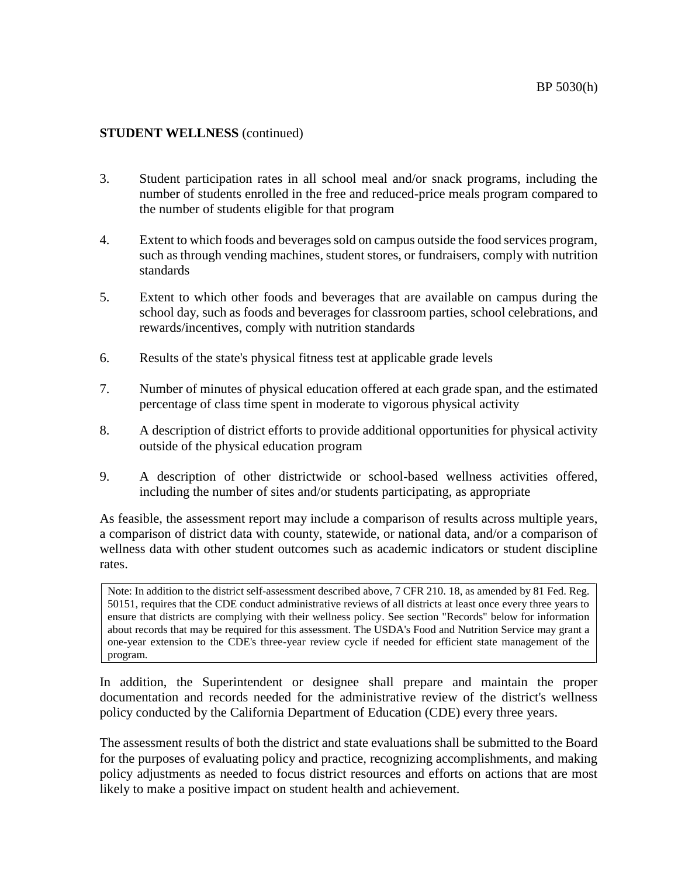- 3. Student participation rates in all school meal and/or snack programs, including the number of students enrolled in the free and reduced-price meals program compared to the number of students eligible for that program
- 4. Extent to which foods and beverages sold on campus outside the food services program, such as through vending machines, student stores, or fundraisers, comply with nutrition standards
- 5. Extent to which other foods and beverages that are available on campus during the school day, such as foods and beverages for classroom parties, school celebrations, and rewards/incentives, comply with nutrition standards
- 6. Results of the state's physical fitness test at applicable grade levels
- 7. Number of minutes of physical education offered at each grade span, and the estimated percentage of class time spent in moderate to vigorous physical activity
- 8. A description of district efforts to provide additional opportunities for physical activity outside of the physical education program
- 9. A description of other districtwide or school-based wellness activities offered, including the number of sites and/or students participating, as appropriate

As feasible, the assessment report may include a comparison of results across multiple years, a comparison of district data with county, statewide, or national data, and/or a comparison of wellness data with other student outcomes such as academic indicators or student discipline rates.

Note: In addition to the district self-assessment described above, 7 CFR 210. 18, as amended by 81 Fed. Reg. 50151, requires that the CDE conduct administrative reviews of all districts at least once every three years to ensure that districts are complying with their wellness policy. See section "Records" below for information about records that may be required for this assessment. The USDA's Food and Nutrition Service may grant a one-year extension to the CDE's three-year review cycle if needed for efficient state management of the program.

In addition, the Superintendent or designee shall prepare and maintain the proper documentation and records needed for the administrative review of the district's wellness policy conducted by the California Department of Education (CDE) every three years.

The assessment results of both the district and state evaluations shall be submitted to the Board for the purposes of evaluating policy and practice, recognizing accomplishments, and making policy adjustments as needed to focus district resources and efforts on actions that are most likely to make a positive impact on student health and achievement.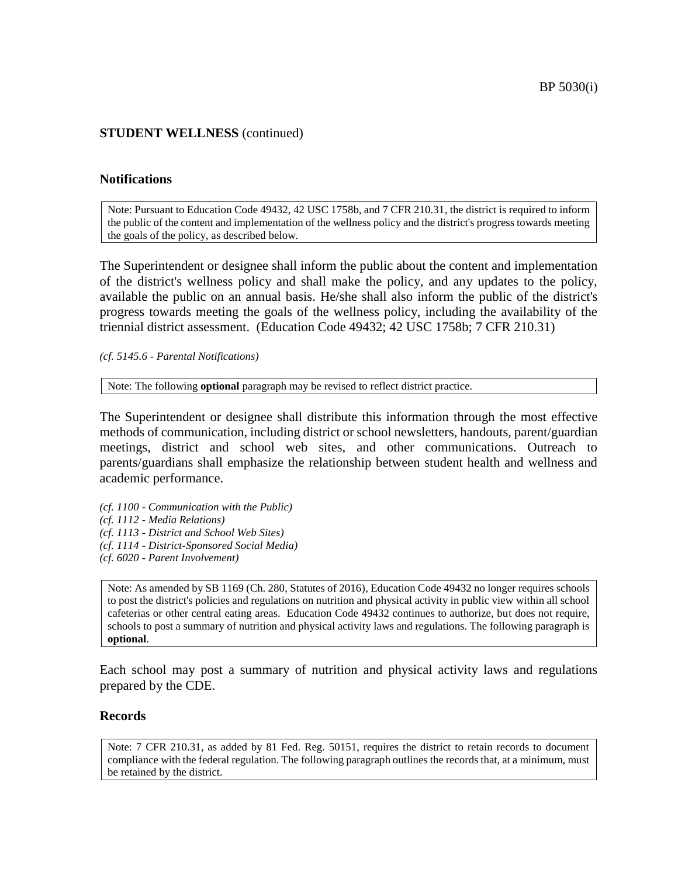#### **Notifications**

Note: Pursuant to Education Code 49432, 42 USC 1758b, and 7 CFR 210.31, the district is required to inform the public of the content and implementation of the wellness policy and the district's progress towards meeting the goals of the policy, as described below.

The Superintendent or designee shall inform the public about the content and implementation of the district's wellness policy and shall make the policy, and any updates to the policy, available the public on an annual basis. He/she shall also inform the public of the district's progress towards meeting the goals of the wellness policy, including the availability of the triennial district assessment. (Education Code 49432; 42 USC 1758b; 7 CFR 210.31)

*(cf. 5145.6 - Parental Notifications)*

Note: The following **optional** paragraph may be revised to reflect district practice.

The Superintendent or designee shall distribute this information through the most effective methods of communication, including district or school newsletters, handouts, parent/guardian meetings, district and school web sites, and other communications. Outreach to parents/guardians shall emphasize the relationship between student health and wellness and academic performance.

- *(cf. 1100 - Communication with the Public)*
- *(cf. 1112 - Media Relations)*
- *(cf. 1113 - District and School Web Sites)*
- *(cf. 1114 - District-Sponsored Social Media)*
- *(cf. 6020 - Parent Involvement)*

Note: As amended by SB 1169 (Ch. 280, Statutes of 2016), Education Code 49432 no longer requires schools to post the district's policies and regulations on nutrition and physical activity in public view within all school cafeterias or other central eating areas. Education Code 49432 continues to authorize, but does not require, schools to post a summary of nutrition and physical activity laws and regulations. The following paragraph is **optional**.

Each school may post a summary of nutrition and physical activity laws and regulations prepared by the CDE.

#### **Records**

Note: 7 CFR 210.31, as added by 81 Fed. Reg. 50151, requires the district to retain records to document compliance with the federal regulation. The following paragraph outlines the records that, at a minimum, must be retained by the district.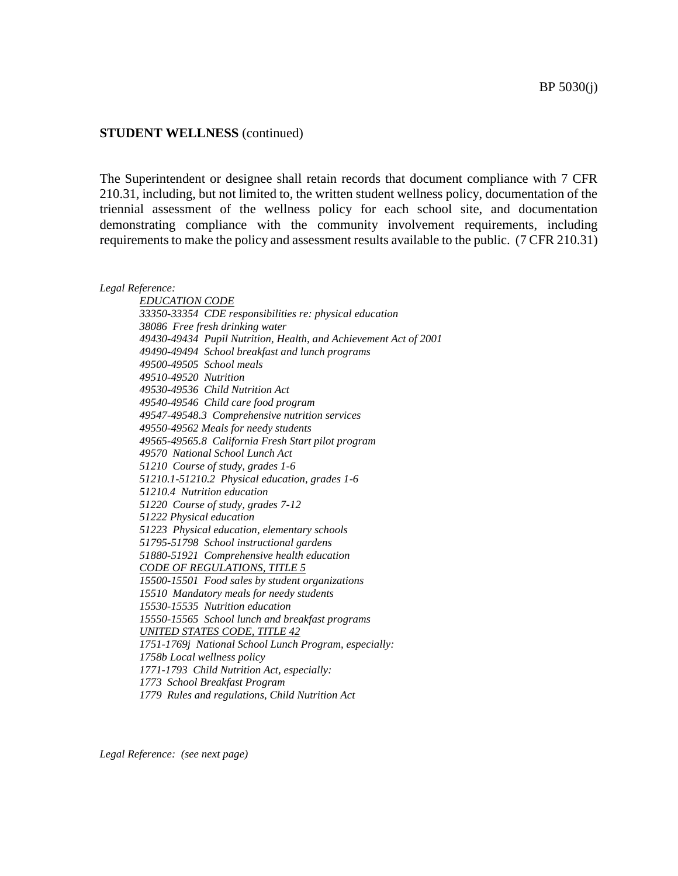The Superintendent or designee shall retain records that document compliance with 7 CFR 210.31, including, but not limited to, the written student wellness policy, documentation of the triennial assessment of the wellness policy for each school site, and documentation demonstrating compliance with the community involvement requirements, including requirements to make the policy and assessment results available to the public. (7 CFR 210.31)

*Legal Reference:*

*EDUCATION CODE 33350-33354 CDE responsibilities re: physical education 38086 Free fresh drinking water 49430-49434 Pupil Nutrition, Health, and Achievement Act of 2001 49490-49494 School breakfast and lunch programs 49500-49505 School meals 49510-49520 Nutrition 49530-49536 Child Nutrition Act 49540-49546 Child care food program 49547-49548.3 Comprehensive nutrition services 49550-49562 Meals for needy students 49565-49565.8 California Fresh Start pilot program 49570 National School Lunch Act 51210 Course of study, grades 1-6 51210.1-51210.2 Physical education, grades 1-6 51210.4 Nutrition education 51220 Course of study, grades 7-12 51222 Physical education 51223 Physical education, elementary schools 51795-51798 School instructional gardens 51880-51921 Comprehensive health education CODE OF REGULATIONS, TITLE 5 15500-15501 Food sales by student organizations 15510 Mandatory meals for needy students 15530-15535 Nutrition education 15550-15565 School lunch and breakfast programs UNITED STATES CODE, TITLE 42 1751-1769j National School Lunch Program, especially: 1758b Local wellness policy 1771-1793 Child Nutrition Act, especially: 1773 School Breakfast Program 1779 Rules and regulations, Child Nutrition Act*

*Legal Reference: (see next page)*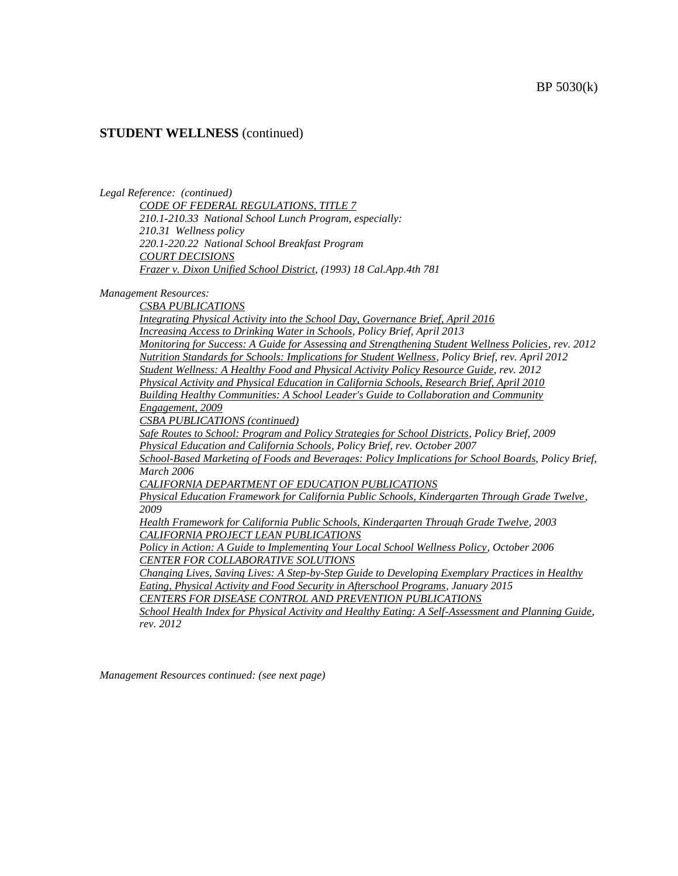*Legal Reference: (continued)*

*CODE OF FEDERAL REGULATIONS, TITLE 7 210.1-210.33 National School Lunch Program, especially: 210.31 Wellness policy 220.1-220.22 National School Breakfast Program COURT DECISIONS Frazer v. Dixon Unified School District, (1993) 18 Cal.App.4th 781*

*Management Resources:*

*CSBA PUBLICATIONS Integrating Physical Activity into the School Day, Governance Brief, April 2016 Increasing Access to Drinking Water in Schools, Policy Brief, April 2013 Monitoring for Success: A Guide for Assessing and Strengthening Student Wellness Policies, rev. 2012 Nutrition Standards for Schools: Implications for Student Wellness, Policy Brief, rev. April 2012 Student Wellness: A Healthy Food and Physical Activity Policy Resource Guide, rev. 2012 Physical Activity and Physical Education in California Schools, Research Brief, April 2010 Building Healthy Communities: A School Leader's Guide to Collaboration and Community Engagement, 2009 CSBA PUBLICATIONS (continued) Safe Routes to School: Program and Policy Strategies for School Districts, Policy Brief, 2009 Physical Education and California Schools, Policy Brief, rev. October 2007 School-Based Marketing of Foods and Beverages: Policy Implications for School Boards, Policy Brief, March 2006 CALIFORNIA DEPARTMENT OF EDUCATION PUBLICATIONS Physical Education Framework for California Public Schools, Kindergarten Through Grade Twelve, 2009 Health Framework for California Public Schools, Kindergarten Through Grade Twelve, 2003 CALIFORNIA PROJECT LEAN PUBLICATIONS Policy in Action: A Guide to Implementing Your Local School Wellness Policy, October 2006 CENTER FOR COLLABORATIVE SOLUTIONS Changing Lives, Saving Lives: A Step-by-Step Guide to Developing Exemplary Practices in Healthy Eating, Physical Activity and Food Security in Afterschool Programs, January 2015 CENTERS FOR DISEASE CONTROL AND PREVENTION PUBLICATIONS School Health Index for Physical Activity and Healthy Eating: A Self-Assessment and Planning Guide,* 

*rev. 2012*

*Management Resources continued: (see next page)*